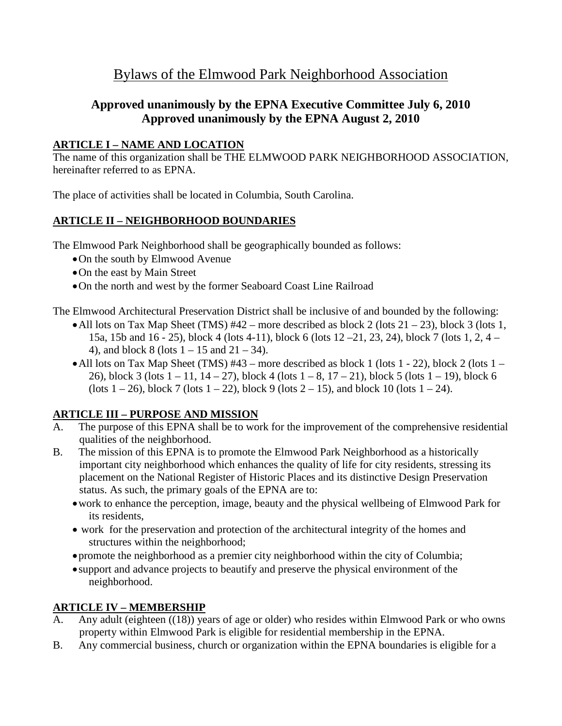# Bylaws of the Elmwood Park Neighborhood Association

# **Approved unanimously by the EPNA Executive Committee July 6, 2010 Approved unanimously by the EPNA August 2, 2010**

#### **ARTICLE I – NAME AND LOCATION**

The name of this organization shall be THE ELMWOOD PARK NEIGHBORHOOD ASSOCIATION, hereinafter referred to as EPNA.

The place of activities shall be located in Columbia, South Carolina.

### **ARTICLE II – NEIGHBORHOOD BOUNDARIES**

The Elmwood Park Neighborhood shall be geographically bounded as follows:

- •On the south by Elmwood Avenue
- •On the east by Main Street
- •On the north and west by the former Seaboard Coast Line Railroad

The Elmwood Architectural Preservation District shall be inclusive of and bounded by the following:

- All lots on Tax Map Sheet (TMS)  $#42$  more described as block 2 (lots 21 23), block 3 (lots 1, 15a, 15b and 16 - 25), block 4 (lots 4-11), block 6 (lots 12 –21, 23, 24), block 7 (lots 1, 2, 4 – 4), and block 8 (lots  $1 - 15$  and  $21 - 34$ ).
- All lots on Tax Map Sheet (TMS)  $#43$  more described as block 1 (lots 1 22), block 2 (lots 1 26), block 3 (lots  $1 - 11$ ,  $14 - 27$ ), block 4 (lots  $1 - 8$ ,  $17 - 21$ ), block 5 (lots  $1 - 19$ ), block 6 (lots  $1 - 26$ ), block 7 (lots  $1 - 22$ ), block 9 (lots  $2 - 15$ ), and block 10 (lots  $1 - 24$ ).

### **ARTICLE III – PURPOSE AND MISSION**

- A. The purpose of this EPNA shall be to work for the improvement of the comprehensive residential qualities of the neighborhood.
- B. The mission of this EPNA is to promote the Elmwood Park Neighborhood as a historically important city neighborhood which enhances the quality of life for city residents, stressing its placement on the National Register of Historic Places and its distinctive Design Preservation status. As such, the primary goals of the EPNA are to:
	- •work to enhance the perception, image, beauty and the physical wellbeing of Elmwood Park for its residents,
	- work for the preservation and protection of the architectural integrity of the homes and structures within the neighborhood;
	- promote the neighborhood as a premier city neighborhood within the city of Columbia;
	- support and advance projects to beautify and preserve the physical environment of the neighborhood.

### **ARTICLE IV – MEMBERSHIP**

- A. Any adult (eighteen ((18)) years of age or older) who resides within Elmwood Park or who owns property within Elmwood Park is eligible for residential membership in the EPNA.
- B. Any commercial business, church or organization within the EPNA boundaries is eligible for a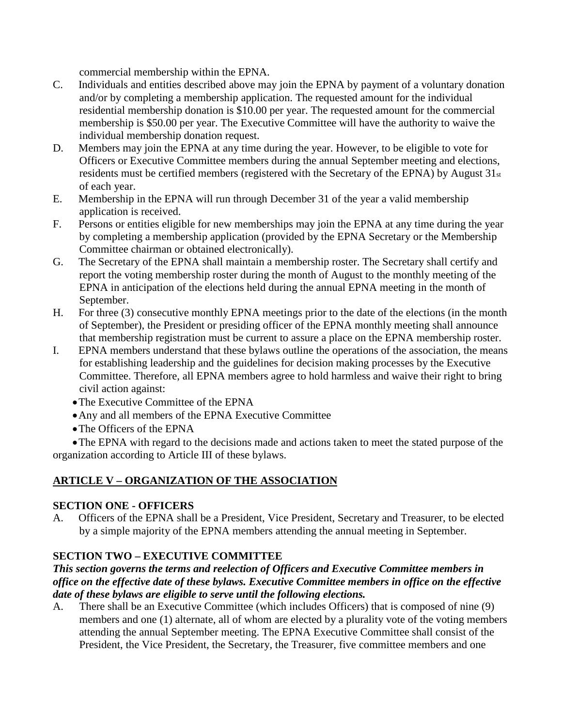commercial membership within the EPNA.

- C. Individuals and entities described above may join the EPNA by payment of a voluntary donation and/or by completing a membership application. The requested amount for the individual residential membership donation is \$10.00 per year. The requested amount for the commercial membership is \$50.00 per year. The Executive Committee will have the authority to waive the individual membership donation request.
- D. Members may join the EPNA at any time during the year. However, to be eligible to vote for Officers or Executive Committee members during the annual September meeting and elections, residents must be certified members (registered with the Secretary of the EPNA) by August 31st of each year.
- E. Membership in the EPNA will run through December 31 of the year a valid membership application is received.
- F. Persons or entities eligible for new memberships may join the EPNA at any time during the year by completing a membership application (provided by the EPNA Secretary or the Membership Committee chairman or obtained electronically).
- G. The Secretary of the EPNA shall maintain a membership roster. The Secretary shall certify and report the voting membership roster during the month of August to the monthly meeting of the EPNA in anticipation of the elections held during the annual EPNA meeting in the month of September.
- H. For three (3) consecutive monthly EPNA meetings prior to the date of the elections (in the month of September), the President or presiding officer of the EPNA monthly meeting shall announce that membership registration must be current to assure a place on the EPNA membership roster.
- I. EPNA members understand that these bylaws outline the operations of the association, the means for establishing leadership and the guidelines for decision making processes by the Executive Committee. Therefore, all EPNA members agree to hold harmless and waive their right to bring civil action against:
	- •The Executive Committee of the EPNA
	- •Any and all members of the EPNA Executive Committee
	- •The Officers of the EPNA

•The EPNA with regard to the decisions made and actions taken to meet the stated purpose of the organization according to Article III of these bylaws.

### **ARTICLE V – ORGANIZATION OF THE ASSOCIATION**

#### **SECTION ONE - OFFICERS**

A. Officers of the EPNA shall be a President, Vice President, Secretary and Treasurer, to be elected by a simple majority of the EPNA members attending the annual meeting in September.

#### **SECTION TWO – EXECUTIVE COMMITTEE**

#### *This section governs the terms and reelection of Officers and Executive Committee members in office on the effective date of these bylaws. Executive Committee members in office on the effective date of these bylaws are eligible to serve until the following elections.*

A. There shall be an Executive Committee (which includes Officers) that is composed of nine (9) members and one (1) alternate, all of whom are elected by a plurality vote of the voting members attending the annual September meeting. The EPNA Executive Committee shall consist of the President, the Vice President, the Secretary, the Treasurer, five committee members and one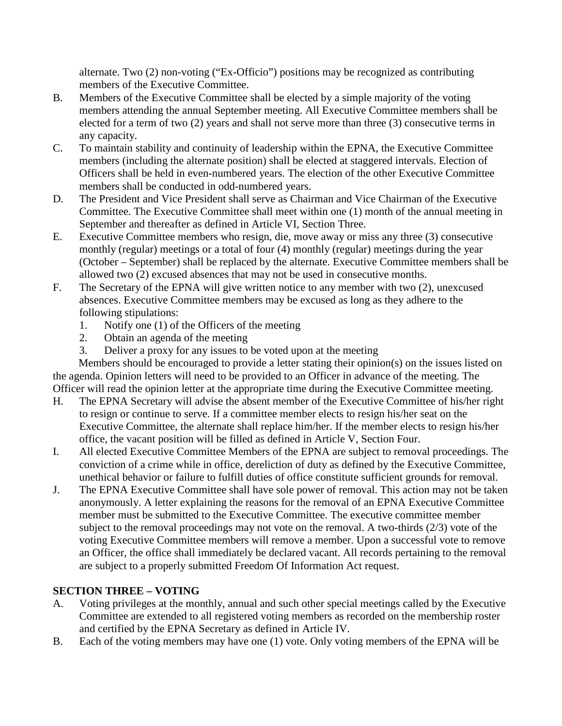alternate. Two (2) non-voting ("Ex-Officio") positions may be recognized as contributing members of the Executive Committee.

- B. Members of the Executive Committee shall be elected by a simple majority of the voting members attending the annual September meeting. All Executive Committee members shall be elected for a term of two (2) years and shall not serve more than three (3) consecutive terms in any capacity.
- C. To maintain stability and continuity of leadership within the EPNA, the Executive Committee members (including the alternate position) shall be elected at staggered intervals. Election of Officers shall be held in even-numbered years. The election of the other Executive Committee members shall be conducted in odd-numbered years.
- D. The President and Vice President shall serve as Chairman and Vice Chairman of the Executive Committee. The Executive Committee shall meet within one (1) month of the annual meeting in September and thereafter as defined in Article VI, Section Three.
- E. Executive Committee members who resign, die, move away or miss any three (3) consecutive monthly (regular) meetings or a total of four (4) monthly (regular) meetings during the year (October – September) shall be replaced by the alternate. Executive Committee members shall be allowed two (2) excused absences that may not be used in consecutive months.
- F. The Secretary of the EPNA will give written notice to any member with two (2), unexcused absences. Executive Committee members may be excused as long as they adhere to the following stipulations:
	- 1. Notify one (1) of the Officers of the meeting
	- 2. Obtain an agenda of the meeting
	- 3. Deliver a proxy for any issues to be voted upon at the meeting

Members should be encouraged to provide a letter stating their opinion(s) on the issues listed on the agenda. Opinion letters will need to be provided to an Officer in advance of the meeting. The Officer will read the opinion letter at the appropriate time during the Executive Committee meeting.

- H. The EPNA Secretary will advise the absent member of the Executive Committee of his/her right to resign or continue to serve. If a committee member elects to resign his/her seat on the Executive Committee, the alternate shall replace him/her. If the member elects to resign his/her office, the vacant position will be filled as defined in Article V, Section Four.
- I. All elected Executive Committee Members of the EPNA are subject to removal proceedings. The conviction of a crime while in office, dereliction of duty as defined by the Executive Committee, unethical behavior or failure to fulfill duties of office constitute sufficient grounds for removal.
- J. The EPNA Executive Committee shall have sole power of removal. This action may not be taken anonymously. A letter explaining the reasons for the removal of an EPNA Executive Committee member must be submitted to the Executive Committee. The executive committee member subject to the removal proceedings may not vote on the removal. A two-thirds (2/3) vote of the voting Executive Committee members will remove a member. Upon a successful vote to remove an Officer, the office shall immediately be declared vacant. All records pertaining to the removal are subject to a properly submitted Freedom Of Information Act request.

# **SECTION THREE – VOTING**

- A. Voting privileges at the monthly, annual and such other special meetings called by the Executive Committee are extended to all registered voting members as recorded on the membership roster and certified by the EPNA Secretary as defined in Article IV.
- B. Each of the voting members may have one (1) vote. Only voting members of the EPNA will be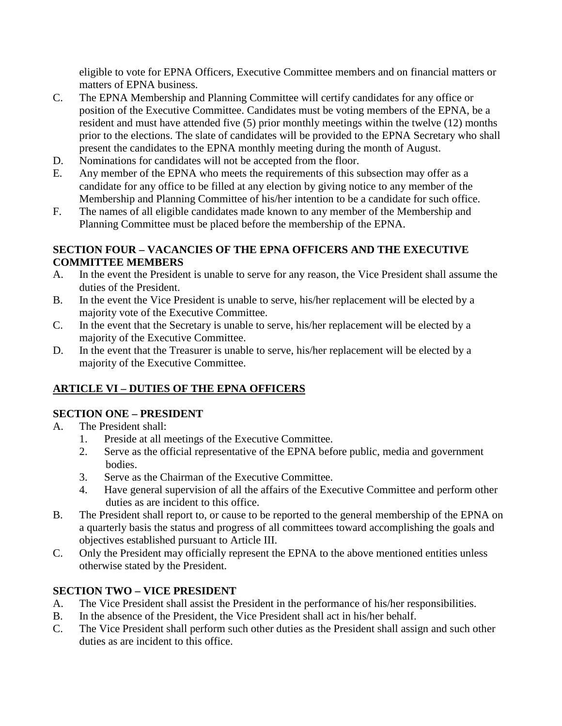eligible to vote for EPNA Officers, Executive Committee members and on financial matters or matters of EPNA business.

- C. The EPNA Membership and Planning Committee will certify candidates for any office or position of the Executive Committee. Candidates must be voting members of the EPNA, be a resident and must have attended five (5) prior monthly meetings within the twelve (12) months prior to the elections. The slate of candidates will be provided to the EPNA Secretary who shall present the candidates to the EPNA monthly meeting during the month of August.
- D. Nominations for candidates will not be accepted from the floor.
- E. Any member of the EPNA who meets the requirements of this subsection may offer as a candidate for any office to be filled at any election by giving notice to any member of the Membership and Planning Committee of his/her intention to be a candidate for such office.
- F. The names of all eligible candidates made known to any member of the Membership and Planning Committee must be placed before the membership of the EPNA.

#### **SECTION FOUR – VACANCIES OF THE EPNA OFFICERS AND THE EXECUTIVE COMMITTEE MEMBERS**

- A. In the event the President is unable to serve for any reason, the Vice President shall assume the duties of the President.
- B. In the event the Vice President is unable to serve, his/her replacement will be elected by a majority vote of the Executive Committee.
- C. In the event that the Secretary is unable to serve, his/her replacement will be elected by a majority of the Executive Committee.
- D. In the event that the Treasurer is unable to serve, his/her replacement will be elected by a majority of the Executive Committee.

# **ARTICLE VI – DUTIES OF THE EPNA OFFICERS**

### **SECTION ONE – PRESIDENT**

- A. The President shall:
	- 1. Preside at all meetings of the Executive Committee.
	- 2. Serve as the official representative of the EPNA before public, media and government bodies.
	- 3. Serve as the Chairman of the Executive Committee.
	- 4. Have general supervision of all the affairs of the Executive Committee and perform other duties as are incident to this office.
- B. The President shall report to, or cause to be reported to the general membership of the EPNA on a quarterly basis the status and progress of all committees toward accomplishing the goals and objectives established pursuant to Article III.
- C. Only the President may officially represent the EPNA to the above mentioned entities unless otherwise stated by the President.

# **SECTION TWO – VICE PRESIDENT**

- A. The Vice President shall assist the President in the performance of his/her responsibilities.
- B. In the absence of the President, the Vice President shall act in his/her behalf.
- C. The Vice President shall perform such other duties as the President shall assign and such other duties as are incident to this office.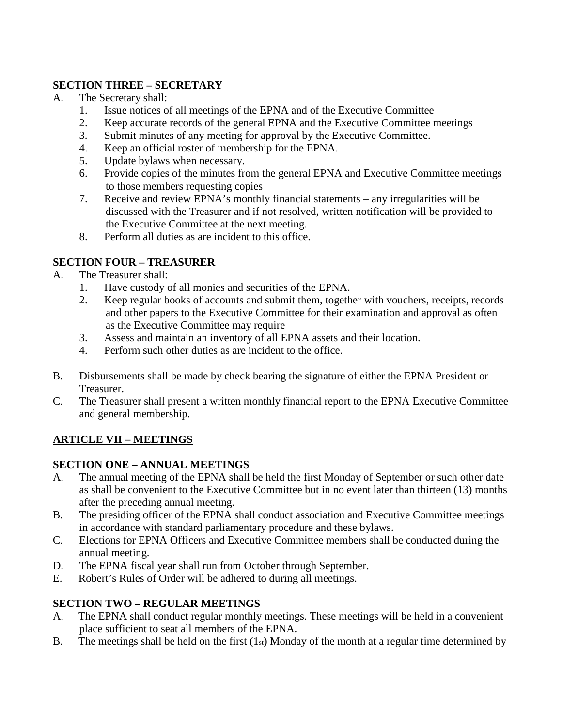### **SECTION THREE – SECRETARY**

- A. The Secretary shall:
	- 1. Issue notices of all meetings of the EPNA and of the Executive Committee
	- 2. Keep accurate records of the general EPNA and the Executive Committee meetings
	- 3. Submit minutes of any meeting for approval by the Executive Committee.
	- 4. Keep an official roster of membership for the EPNA.
	- 5. Update bylaws when necessary.
	- 6. Provide copies of the minutes from the general EPNA and Executive Committee meetings to those members requesting copies
	- 7. Receive and review EPNA's monthly financial statements any irregularities will be discussed with the Treasurer and if not resolved, written notification will be provided to the Executive Committee at the next meeting.
	- 8. Perform all duties as are incident to this office.

# **SECTION FOUR – TREASURER**

- A. The Treasurer shall:
	- 1. Have custody of all monies and securities of the EPNA.
	- 2. Keep regular books of accounts and submit them, together with vouchers, receipts, records and other papers to the Executive Committee for their examination and approval as often as the Executive Committee may require
	- 3. Assess and maintain an inventory of all EPNA assets and their location.
	- 4. Perform such other duties as are incident to the office.
- B. Disbursements shall be made by check bearing the signature of either the EPNA President or Treasurer.
- C. The Treasurer shall present a written monthly financial report to the EPNA Executive Committee and general membership.

# **ARTICLE VII – MEETINGS**

### **SECTION ONE – ANNUAL MEETINGS**

- A. The annual meeting of the EPNA shall be held the first Monday of September or such other date as shall be convenient to the Executive Committee but in no event later than thirteen (13) months after the preceding annual meeting.
- B. The presiding officer of the EPNA shall conduct association and Executive Committee meetings in accordance with standard parliamentary procedure and these bylaws.
- C. Elections for EPNA Officers and Executive Committee members shall be conducted during the annual meeting.
- D. The EPNA fiscal year shall run from October through September.
- E. Robert's Rules of Order will be adhered to during all meetings.

# **SECTION TWO – REGULAR MEETINGS**

- A. The EPNA shall conduct regular monthly meetings. These meetings will be held in a convenient place sufficient to seat all members of the EPNA.
- B. The meetings shall be held on the first  $(1<sub>st</sub>)$  Monday of the month at a regular time determined by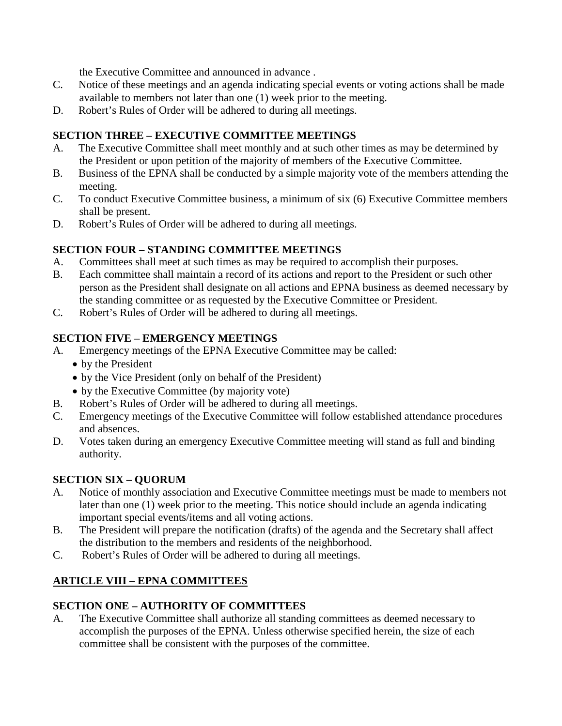the Executive Committee and announced in advance .

- C. Notice of these meetings and an agenda indicating special events or voting actions shall be made available to members not later than one (1) week prior to the meeting.
- D. Robert's Rules of Order will be adhered to during all meetings.

### **SECTION THREE – EXECUTIVE COMMITTEE MEETINGS**

- A. The Executive Committee shall meet monthly and at such other times as may be determined by the President or upon petition of the majority of members of the Executive Committee.
- B. Business of the EPNA shall be conducted by a simple majority vote of the members attending the meeting.
- C. To conduct Executive Committee business, a minimum of six (6) Executive Committee members shall be present.
- D. Robert's Rules of Order will be adhered to during all meetings.

### **SECTION FOUR – STANDING COMMITTEE MEETINGS**

- A. Committees shall meet at such times as may be required to accomplish their purposes.
- B. Each committee shall maintain a record of its actions and report to the President or such other person as the President shall designate on all actions and EPNA business as deemed necessary by the standing committee or as requested by the Executive Committee or President.
- C. Robert's Rules of Order will be adhered to during all meetings.

### **SECTION FIVE – EMERGENCY MEETINGS**

- A. Emergency meetings of the EPNA Executive Committee may be called:
	- by the President
	- by the Vice President (only on behalf of the President)
	- by the Executive Committee (by majority vote)
- B. Robert's Rules of Order will be adhered to during all meetings.
- C. Emergency meetings of the Executive Committee will follow established attendance procedures and absences.
- D. Votes taken during an emergency Executive Committee meeting will stand as full and binding authority.

### **SECTION SIX – QUORUM**

- A. Notice of monthly association and Executive Committee meetings must be made to members not later than one (1) week prior to the meeting. This notice should include an agenda indicating important special events/items and all voting actions.
- B. The President will prepare the notification (drafts) of the agenda and the Secretary shall affect the distribution to the members and residents of the neighborhood.
- C. Robert's Rules of Order will be adhered to during all meetings.

# **ARTICLE VIII – EPNA COMMITTEES**

### **SECTION ONE – AUTHORITY OF COMMITTEES**

A. The Executive Committee shall authorize all standing committees as deemed necessary to accomplish the purposes of the EPNA. Unless otherwise specified herein, the size of each committee shall be consistent with the purposes of the committee.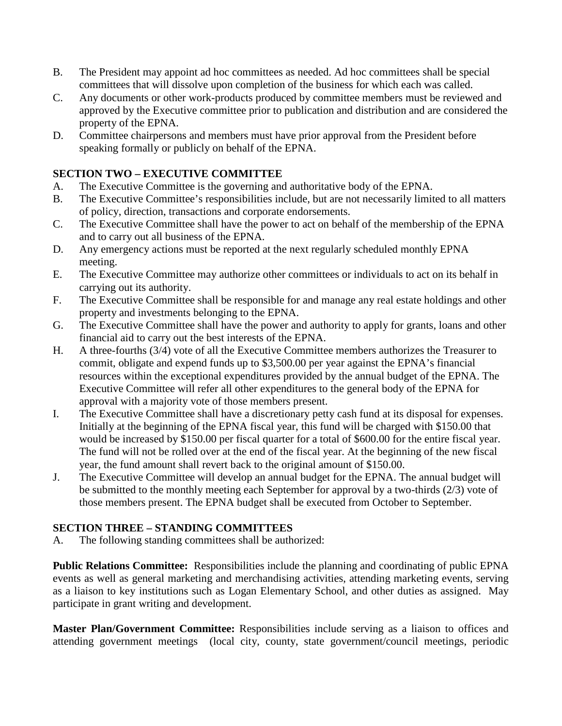- B. The President may appoint ad hoc committees as needed. Ad hoc committees shall be special committees that will dissolve upon completion of the business for which each was called.
- C. Any documents or other work-products produced by committee members must be reviewed and approved by the Executive committee prior to publication and distribution and are considered the property of the EPNA.
- D. Committee chairpersons and members must have prior approval from the President before speaking formally or publicly on behalf of the EPNA.

### **SECTION TWO – EXECUTIVE COMMITTEE**

- A. The Executive Committee is the governing and authoritative body of the EPNA.
- B. The Executive Committee's responsibilities include, but are not necessarily limited to all matters of policy, direction, transactions and corporate endorsements.
- C. The Executive Committee shall have the power to act on behalf of the membership of the EPNA and to carry out all business of the EPNA.
- D. Any emergency actions must be reported at the next regularly scheduled monthly EPNA meeting.
- E. The Executive Committee may authorize other committees or individuals to act on its behalf in carrying out its authority.
- F. The Executive Committee shall be responsible for and manage any real estate holdings and other property and investments belonging to the EPNA.
- G. The Executive Committee shall have the power and authority to apply for grants, loans and other financial aid to carry out the best interests of the EPNA.
- H. A three-fourths (3/4) vote of all the Executive Committee members authorizes the Treasurer to commit, obligate and expend funds up to \$3,500.00 per year against the EPNA's financial resources within the exceptional expenditures provided by the annual budget of the EPNA. The Executive Committee will refer all other expenditures to the general body of the EPNA for approval with a majority vote of those members present.
- I. The Executive Committee shall have a discretionary petty cash fund at its disposal for expenses. Initially at the beginning of the EPNA fiscal year, this fund will be charged with \$150.00 that would be increased by \$150.00 per fiscal quarter for a total of \$600.00 for the entire fiscal year. The fund will not be rolled over at the end of the fiscal year. At the beginning of the new fiscal year, the fund amount shall revert back to the original amount of \$150.00.
- J. The Executive Committee will develop an annual budget for the EPNA. The annual budget will be submitted to the monthly meeting each September for approval by a two-thirds (2/3) vote of those members present. The EPNA budget shall be executed from October to September.

# **SECTION THREE – STANDING COMMITTEES**

A. The following standing committees shall be authorized:

**Public Relations Committee:** Responsibilities include the planning and coordinating of public EPNA events as well as general marketing and merchandising activities, attending marketing events, serving as a liaison to key institutions such as Logan Elementary School, and other duties as assigned. May participate in grant writing and development.

**Master Plan/Government Committee:** Responsibilities include serving as a liaison to offices and attending government meetings (local city, county, state government/council meetings, periodic